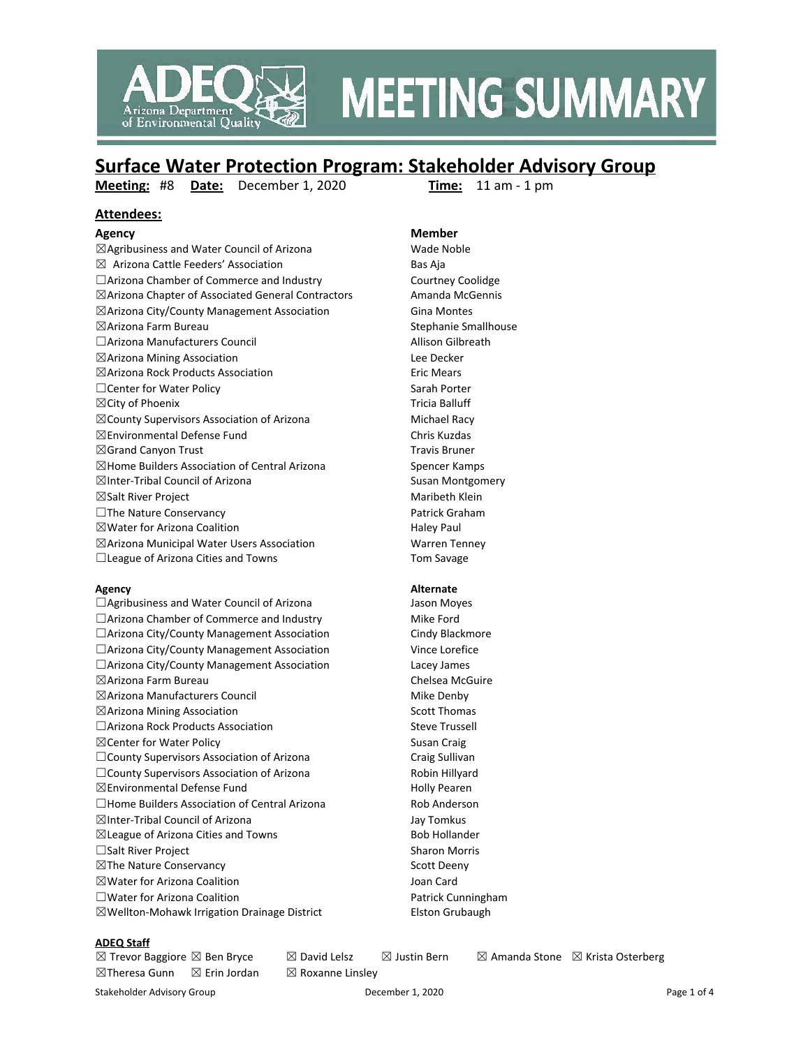

# **MEETING SUMMARY**

## **Surface Water Protection Program: Stakeholder Advisory Group**

**Meeting:** #8 **Date:** December 1, 2020 **Time:** 11 am - 1 pm

#### **Attendees:**

 $\boxtimes$ Agribusiness and Water Council of Arizona Wade Noble  $\boxtimes$  Arizona Cattle Feeders' Association Bas Aia □Arizona Chamber of Commerce and Industry Courtney Coolidge ☒Arizona Chapter of Associated General Contractors Amanda McGennis ⊠Arizona City/County Management Association Gina Montes ☒Arizona Farm Bureau Stephanie Smallhouse □Arizona Manufacturers Council Allison Gilbreath ☒Arizona Mining Association Lee Decker ☒Arizona Rock Products Association Eric Mears □Center for Water Policy Sarah Porter ☒City of Phoenix Tricia Balluff ⊠ County Supervisors Association of Arizona Michael Racy ☒Environmental Defense Fund Chris Kuzdas  $\boxtimes$ Grand Canyon Trust Travis Bruner ☒Home Builders Association of Central Arizona Spencer Kamps ⊠Inter-Tribal Council of Arizona Susan Montgomery ☒Salt River Project Maribeth Klein □The Nature Conservancy Patrick Graham  $\boxtimes$  Water for Arizona Coalition **Haley Paul** ☒Arizona Municipal Water Users Association Warren Tenney □League of Arizona Cities and Towns Tom Savage

□Agribusiness and Water Council of Arizona Jason Moyes □Arizona Chamber of Commerce and Industry Mike Ford □Arizona City/County Management Association Cindy Blackmore □Arizona City/County Management Association Vince Lorefice ☐Arizona City/County Management Association Lacey James ☒Arizona Farm Bureau Chelsea McGuire ☒Arizona Manufacturers Council Mike Denby  $\boxtimes$ Arizona Mining Association  $\boxtimes$  Scott Thomas □Arizona Rock Products Association Steve Trussell  $\boxtimes$  Center for Water Policy  $\cong$  Susan Craig □County Supervisors Association of Arizona Craig Sullivan □County Supervisors Association of Arizona Robin Hillyard ☒Environmental Defense Fund Holly Pearen □Home Builders Association of Central Arizona Rob Anderson ☒Inter-Tribal Council of Arizona Jay Tomkus ⊠League of Arizona Cities and Towns Bob Hollander ☐Salt River Project Sharon Morris ⊠The Nature Conservancy Scott Deeny ☒Water for Arizona Coalition Joan Card  $\square$ Water for Arizona Coalition  $\square$ ☒Wellton-Mohawk Irrigation Drainage District Elston Grubaugh

#### **Agency Member**

#### **Agency Alternate**

**ADEQ Staff**

 $\boxtimes$ Theresa Gunn  $\boxtimes$  Erin Jordan  $\boxtimes$  Roxanne Linsley

 $\boxtimes$  Trevor Baggiore  $\boxtimes$  Ben Bryce  $\qquad \boxtimes$  David Lelsz  $\qquad \boxtimes$  Justin Bern  $\qquad \boxtimes$  Amanda Stone  $\qquad \boxtimes$  Krista Osterberg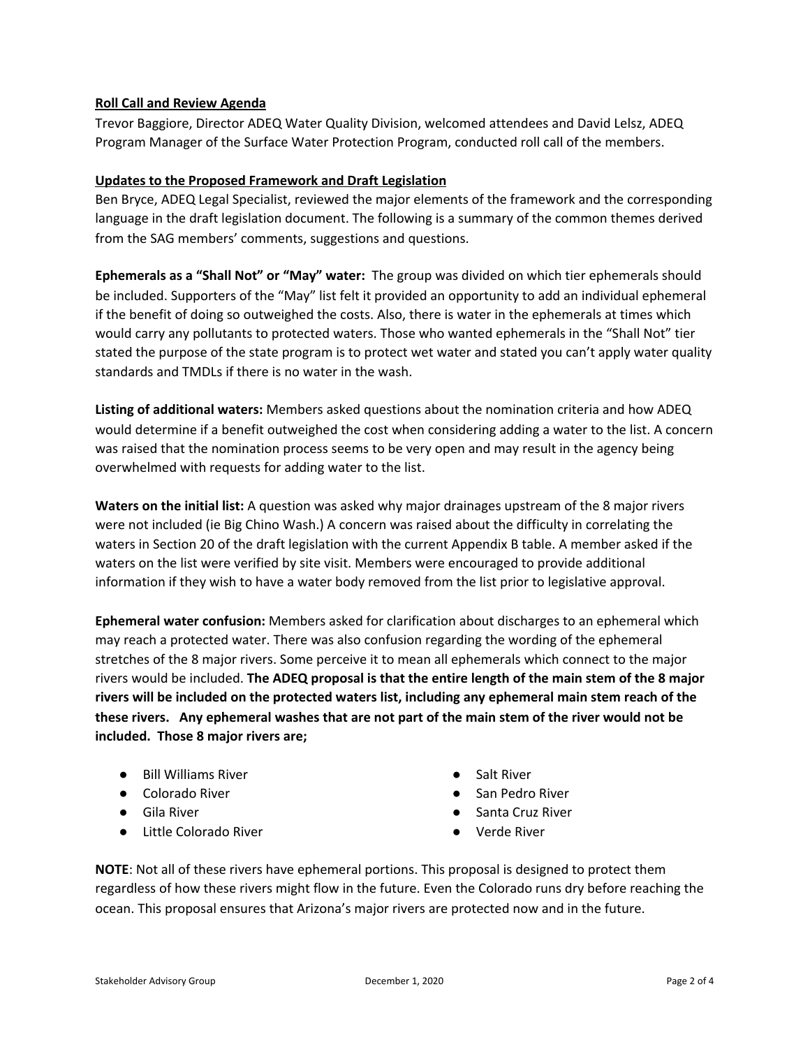#### **Roll Call and Review Agenda**

Trevor Baggiore, Director ADEQ Water Quality Division, welcomed attendees and David Lelsz, ADEQ Program Manager of the Surface Water Protection Program, conducted roll call of the members.

#### **Updates to the Proposed Framework and Draft Legislation**

Ben Bryce, ADEQ Legal Specialist, reviewed the major elements of the framework and the corresponding language in the draft legislation document. The following is a summary of the common themes derived from the SAG members' comments, suggestions and questions.

**Ephemerals as a "Shall Not" or "May" water:** The group was divided on which tier ephemerals should be included. Supporters of the "May" list felt it provided an opportunity to add an individual ephemeral if the benefit of doing so outweighed the costs. Also, there is water in the ephemerals at times which would carry any pollutants to protected waters. Those who wanted ephemerals in the "Shall Not" tier stated the purpose of the state program is to protect wet water and stated you can't apply water quality standards and TMDLs if there is no water in the wash.

**Listing of additional waters:** Members asked questions about the nomination criteria and how ADEQ would determine if a benefit outweighed the cost when considering adding a water to the list. A concern was raised that the nomination process seems to be very open and may result in the agency being overwhelmed with requests for adding water to the list.

**Waters on the initial list:** A question was asked why major drainages upstream of the 8 major rivers were not included (ie Big Chino Wash.) A concern was raised about the difficulty in correlating the waters in Section 20 of the draft legislation with the current Appendix B table. A member asked if the waters on the list were verified by site visit. Members were encouraged to provide additional information if they wish to have a water body removed from the list prior to legislative approval.

**Ephemeral water confusion:** Members asked for clarification about discharges to an ephemeral which may reach a protected water. There was also confusion regarding the wording of the ephemeral stretches of the 8 major rivers. Some perceive it to mean all ephemerals which connect to the major rivers would be included. **The ADEQ proposal is that the entire length of the main stem of the 8 major rivers will be included on the protected waters list, including any ephemeral main stem reach of the** these rivers. Any ephemeral washes that are not part of the main stem of the river would not be **included. Those 8 major rivers are;**

- Bill Williams River
- Colorado River
- Gila River
- Little Colorado River
- **Salt River**
- San Pedro River
- Santa Cruz River
- Verde River

**NOTE**: Not all of these rivers have ephemeral portions. This proposal is designed to protect them regardless of how these rivers might flow in the future. Even the Colorado runs dry before reaching the ocean. This proposal ensures that Arizona's major rivers are protected now and in the future.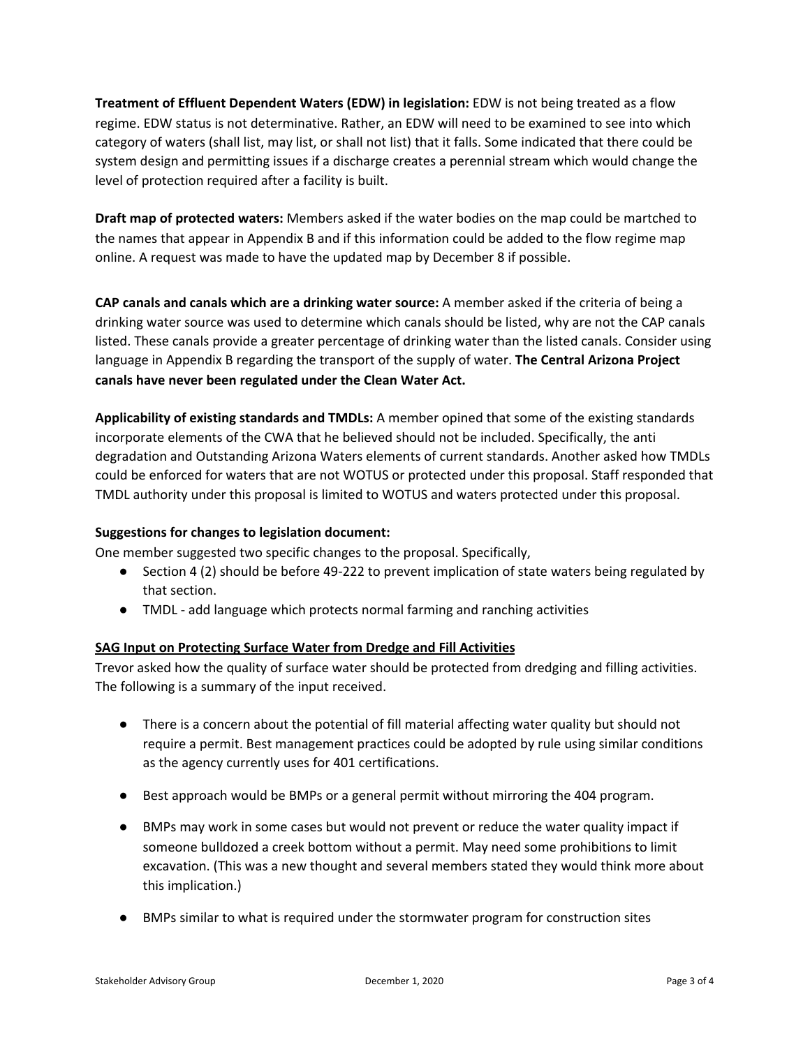**Treatment of Effluent Dependent Waters (EDW) in legislation:** EDW is not being treated as a flow regime. EDW status is not determinative. Rather, an EDW will need to be examined to see into which category of waters (shall list, may list, or shall not list) that it falls. Some indicated that there could be system design and permitting issues if a discharge creates a perennial stream which would change the level of protection required after a facility is built.

**Draft map of protected waters:** Members asked if the water bodies on the map could be martched to the names that appear in Appendix B and if this information could be added to the flow regime map online. A request was made to have the updated map by December 8 if possible.

**CAP canals and canals which are a drinking water source:** A member asked if the criteria of being a drinking water source was used to determine which canals should be listed, why are not the CAP canals listed. These canals provide a greater percentage of drinking water than the listed canals. Consider using language in Appendix B regarding the transport of the supply of water. **The Central Arizona Project canals have never been regulated under the Clean Water Act.**

**Applicability of existing standards and TMDLs:** A member opined that some of the existing standards incorporate elements of the CWA that he believed should not be included. Specifically, the anti degradation and Outstanding Arizona Waters elements of current standards. Another asked how TMDLs could be enforced for waters that are not WOTUS or protected under this proposal. Staff responded that TMDL authority under this proposal is limited to WOTUS and waters protected under this proposal.

## **Suggestions for changes to legislation document:**

One member suggested two specific changes to the proposal. Specifically,

- Section 4 (2) should be before 49-222 to prevent implication of state waters being regulated by that section.
- TMDL add language which protects normal farming and ranching activities

## **SAG Input on Protecting Surface Water from Dredge and Fill Activities**

Trevor asked how the quality of surface water should be protected from dredging and filling activities. The following is a summary of the input received.

- There is a concern about the potential of fill material affecting water quality but should not require a permit. Best management practices could be adopted by rule using similar conditions as the agency currently uses for 401 certifications.
- Best approach would be BMPs or a general permit without mirroring the 404 program.
- BMPs may work in some cases but would not prevent or reduce the water quality impact if someone bulldozed a creek bottom without a permit. May need some prohibitions to limit excavation. (This was a new thought and several members stated they would think more about this implication.)
- BMPs similar to what is required under the stormwater program for construction sites